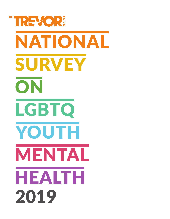# THE REVOR. NATIONAL SURVEY ON LGBTQ YOUTH MENTAL HEALTH2019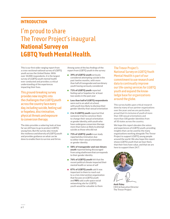## **INTRODUCTION**

# I'm proud to share The Trevor Project's inaugural **National Survey on LGBTQ Youth Mental Health.**

This is our first wide-ranging report from a cross-sectional national survey of LGBTQ youth across the United States. With over 34,000 respondents, it is the largest survey of LGBTQ youth mental health ever conducted and provides a critical understanding of the experiences impacting their lives.

This ground-breaking survey provides new insights into the challenges that LGBTQ youth across the country face every day, including suicide, feeling sad or hopeless, discrimination, physical threats and exposure to conversion therapy.

The data provides a sobering look at how far we still have to go to protect LGBTQ young lives. But the survey also reveals the resilience and diversity of LGBTQ youth and provides guidance on what can be done to enable them to survive and thrive.

Among some of the key findings of the report from LGBTQ youth in the survey:

- 39% of LGBTQ youth seriously considered attempting suicide in the past twelve months, with more than half of transgender and non-binary youth having seriously considered
- 71% of LGBTQ youth reported feeling sad or hopeless for at least two weeks in the past year
- Less than half of LGBTQ respondents were out to an adult at school, with youth less likely to disclose their gender identity than sexual orientation
- 2 in 3 LGBTQ youth reported that someone tried to convince them to change their sexual orientation or gender identity, with youth who have undergone conversion therapy more than twice as likely to attempt suicide as those who did not
- 71% of LGBTQ youth in our study reported discrimination due to either their sexual orientation or gender identity
- 58% of transgender and non-binary youth reported being discouraged from using a bathroom that corresponds to their gender identity
- 76% of LGBTQ youth felt that the recent political climate impacted their mental health or sense of self
- 87% of LGBTQ youth said it was important to them to reach out to a crisis intervention organization that focuses on LGBTQ youth and 98% said a safe space social networking site for LGBTQ youth would be valuable to them

The Trevor Project's National Survey on LGBTQ Youth Mental Health is part of our commitment to use research and data to continually improve our life-saving services for LGBTQ youth and expand the knowledge base for organizations around the globe.

This survey builds upon critical research done by many of our partner organizations over the years and we are particularly proud that it is inclusive of youth of more than 100 sexual orientations and more than 100 gender identities from all 50 states across the country.

We hope this report elevates the voices and experiences of LGBTQ youth, providing insights that can be used by the many organizations working alongside The Trevor Project to support LGBTQ young people around the world. We also hope this report shows LGBTQ youth that we hear them, that their lives have value, and that we are here to support them 24/7.



Amit Paley CEO & Executive Director The Trevor Project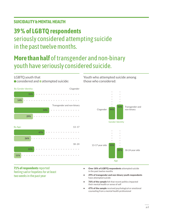## **SUICIDALITY & MENTAL HEALTH**

LGBTQ youth that

# **39 % of LGBTQ respondents**

# seriously considered attempting suicide in the past twelve months.

# **More than half** of transgender and non-binary youth have seriously considered suicide.

## ■ considered and ■ attempted suicide: By Gender Identity: By Age: Cisgender 13–17 Transgender and non-binary 18–24 31% 47% 54% 31% 14% 26% 29% 11%

Youth who attempted suicide among those who considered:



#### **71% of respondents** reported feeling sad or hopeless for at least two weeks in the past year

- Over 18% of LGBTQ respondents attempted suicide in the past twelve months
- 29% of transgender and non-binary youth respondents have attempted suicide
- 76% of the sample felt that recent politics impacted their mental health or sense of self
- 47% of the sample received psychological or emotional counseling from a mental health professional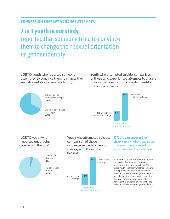## **CONVERSION THERAPY & CHANGE ATTEMPTS**

# **2 in 3 youth in our study** reported that someone tried to convince them to change their sexual orientation or gender identity.

LGBTQ youth who reported someone attempted to convince them to change their sexual orientation or gender identity\*:

Youth who attempted suicide, comparison of those who experienced attempts to change their sexual orientation or gender identity to those who had not:

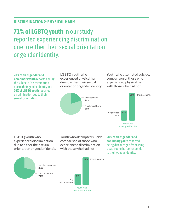## **DISCRIMINATION & PHYSICAL HARM**

# **71% of LGBTQ youth** in our study reported experiencing discrimination due to either their sexual orientation or gender identity.

**78% of transgender and non-binary youth** reported being the subject of discrimination due to their gender identity and **70% of LGBTQ youth** reported discrimination due to their sexual orientation.

LGBTQ youth who experienced physical harm due to either their sexual orientation or gender identity: Youth who attempted suicide, comparison of those who experienced physical harm with those who had not:





LGBTQ youth who experienced discrimination due to either their sexual orientation or gender identity:

Youth who attempted suicide, comparison of those who experienced discrimination with those who had not:

**58 % of transgender and non-binary youth** reported being discouraged from using a bathroom that corresponds to their gender identity.

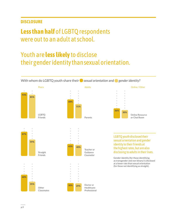## **DISCLOSURE**

# **Less than half** of LGBTQ respondents were out to an adult at school.

# Youth are **less likely** to disclose their gender identity than sexual orientation.

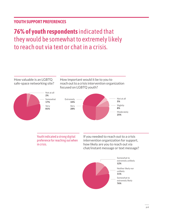## **YOUTH SUPPORT PREFERENCES**

# **76% of youth respondents** indicated that they would be somewhat to extremely likely to reach out via text or chat in a crisis.

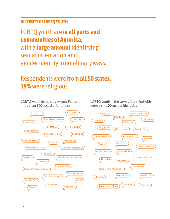## **DIVERSITY OF LGBTQ YOUTH**

LGBTQ youth are **in all parts and communities of America,** with a **large amount** identifying sexual orientation and gender identity in non-binary ways.

# Respondents were from **all 50 states. 39%** were religious.



LGBTQ youth in the survey identified with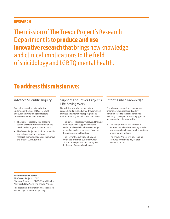## **RESEARCH**

The mission of The Trevor Project's Research Department is to **produce and use innovative research** that brings new knowledge and clinical implications to the field of suicidology and LGBTQ mental health.

# **To address this mission we:**

Providing empirical data to better understand the lives of LGBTQ youth and suicidality including risk factors, protective factors, and outcomes.

- The Trevor Project will be a leading source of scientific information on the needs and strengths of LGBTQ youth
- The Trevor Project will collaborate with key national and international research teams and agencies to improve the lives of LGBTQ youth

## Advance Scientific Inquiry Support The Trevor Project's Life-Saving Work

Using internal and external data and research findings to advance Trevor's crisis services and peer support programs as well as advocacy and education initiatives.

- The Trevor Project's advocacy and training activities will be supported by data collected directly by The Trevor Project as well as evidence gathered from the broader research literature
- The Trevor Project will embody an evidence-informed culture in which all staff are supported and recognized in the use of research evidence

#### Inform Public Knowledge

Ensuring our research and evaluation findings are applicable and widely communicated to the broader public including LGBTQ-youth-serving agencies and mental health organizations.

- The Trevor Project will serve as a national model on how to integrate the best research evidence into its practices, programs, and policies
- The Trevor Project will be a leading resource on terminology related to LGBTQ youth

Recommended Citation

The Trevor Project. (2019). National Survey on LGBTQ Mental Health. New York, New York: The Trevor Project.

For additional information please contact: Research@TheTrevorProject.org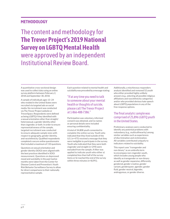## **METHODOLOGY**

The content and methodology for **The Trevor Project's 2019 National Survey on LGBTQ Mental Health**  were approved by an independent Institutional Review Board.

A quantitative cross-sectional design was used to collect data using an online survey platform between February 2, 2018 and September 30, 2018.

A sample of individuals ages 13–24 who resided in the United States were recruited via targeted ads on social media. No recruitment was conducted via The Trevor Project website or TrevorSpace. Respondents were defined as being LGBTQ if they identified with a sexual orientation other than straight/ heterosexual, a gender identity other than cisgender, or both. In order to ensure representativeness of the sample, targeted recruitment was conducted to ensure adequate sample sizes with respect to geography, gender identity, and race/ethnicity. Qualified respondents completed a secure online questionnaire that included a maximum of 110 questions.

Questions on sexual orientation and gender identity (SOGI) were aligned with the best practices identified in SOGI measurement. Questions on depressed mood and suicidality in the past twelve months were taken from the Center for Disease Control and Prevention's Youth Risk Behavior Surveillance Survey to allow for direct comparisons to their nationally representative sample.

Each question related to mental health and suicidality was preceded by a message stating:

#### "If at any time you need to talk to someone about your mental health or thoughts of suicide, please call The Trevor Project at 1-866-488-7386."

Participation was voluntary, informed consent was obtained, and no names or personal details were included ensuring confidentiality.

A total of 34,808 youth consented to complete the online survey. Youth who indicated that they lived outside of the U.S. (n=475) received a message that they were ineligible to participate in the survey. Youth who indicated that they were both cisgender and straight (n=294) were excluded from the sample. A filter was applied to indicate youth who either a) completed less than half of the survey items or b) reached the end of the survey within three minutes (n=8,091).

Additionally, a mischievous responders analysis identified and removed 52 youth who either provided highly unlikely answers (e.g., selecting all possible religious affiliations and race/ethnicity categories) and/or who provided obvious hate speech about LGBTQ populations in any of the free response options.

#### The final analytic sample was comprised of 25,896 LGBTQ youth in the United States.

Preliminary analyses were conducted to identify any potential problems with redundancy (e.g., multicollinearity) among similar variables such as experiences of discrimination and victimization. All variables contributed uniquely to indicators related to suicidality.

This report uses "transgender and non-binary" as an umbrella term to encompass non-cisgender youth, which includes young people who identify as transgender or non-binary as well as gender expansive, differently gendered, gender creative, gender variant, genderqueer, agender, gender fluid, gender neutral, bigender, androgynous, or gender diverse.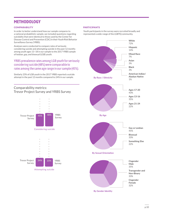## **METHODOLOGY**

#### **COMPARABILITY**

In order to better understand how our sample compares to a national probabilistic sample, we included questions regarding suicidality that were identical to those used by the Center for Disease Control and Prevention (CDC) in their Youth Risk Behavior Surveillance Survey (YRBS).

Analyses were conducted to compare rates of seriously considering suicide and attempting suicide in the past 12 months among youth ages 13–18 in our sample to the 2017 YRBS sample of lesbian, gay, and bisexual (LGB) youth.

### YRBS prevalence rates among LGB youth for seriously considering suicide (48%) were comparable to rates among the same age range in our sample (45%).

Similarly 23% of LGB youth in the 2017 YRBS reported a suicide attempt in the past 12 months compared to 24% in our sample.







Attempting suicide

#### PARTICIPANTS

Youth participants in the survey were recruited broadly and represented a wide-range of the LGBTQ community.